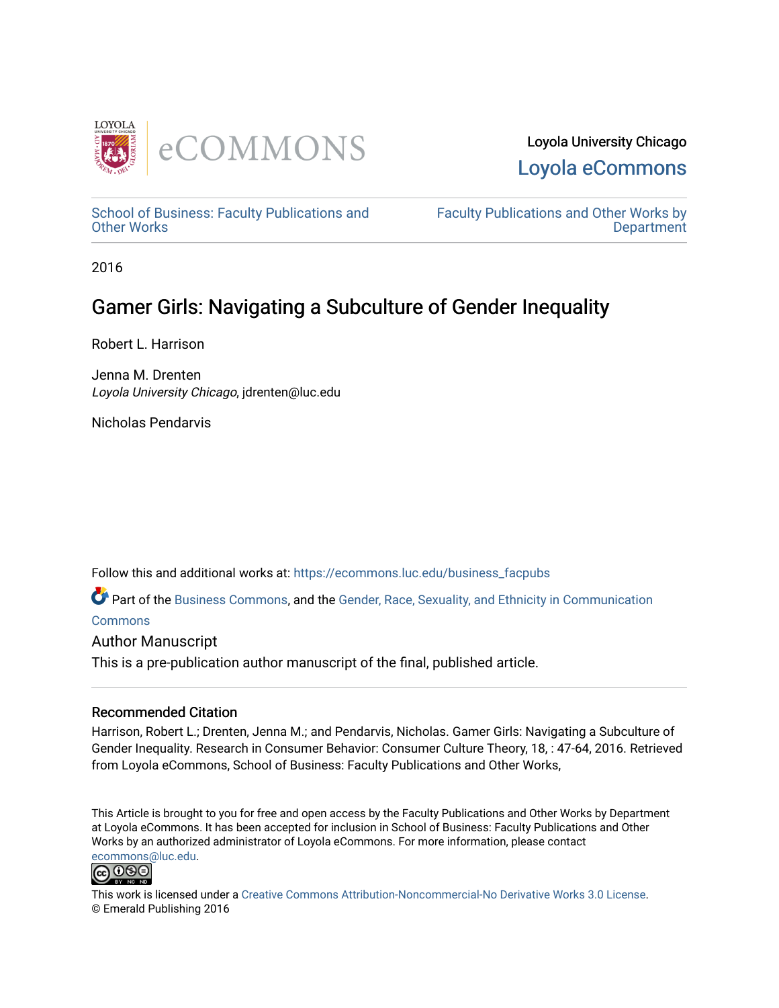

[School of Business: Faculty Publications and](https://ecommons.luc.edu/business_facpubs) [Other Works](https://ecommons.luc.edu/business_facpubs)

[Faculty Publications and Other Works by](https://ecommons.luc.edu/faculty)  **Department** 

2016

# Gamer Girls: Navigating a Subculture of Gender Inequality

Robert L. Harrison

Jenna M. Drenten Loyola University Chicago, jdrenten@luc.edu

Nicholas Pendarvis

Follow this and additional works at: [https://ecommons.luc.edu/business\\_facpubs](https://ecommons.luc.edu/business_facpubs?utm_source=ecommons.luc.edu%2Fbusiness_facpubs%2F170&utm_medium=PDF&utm_campaign=PDFCoverPages) 

Part of the [Business Commons](http://network.bepress.com/hgg/discipline/622?utm_source=ecommons.luc.edu%2Fbusiness_facpubs%2F170&utm_medium=PDF&utm_campaign=PDFCoverPages), and the [Gender, Race, Sexuality, and Ethnicity in Communication](http://network.bepress.com/hgg/discipline/329?utm_source=ecommons.luc.edu%2Fbusiness_facpubs%2F170&utm_medium=PDF&utm_campaign=PDFCoverPages) **[Commons](http://network.bepress.com/hgg/discipline/329?utm_source=ecommons.luc.edu%2Fbusiness_facpubs%2F170&utm_medium=PDF&utm_campaign=PDFCoverPages)** 

Author Manuscript

This is a pre-publication author manuscript of the final, published article.

#### Recommended Citation

Harrison, Robert L.; Drenten, Jenna M.; and Pendarvis, Nicholas. Gamer Girls: Navigating a Subculture of Gender Inequality. Research in Consumer Behavior: Consumer Culture Theory, 18, : 47-64, 2016. Retrieved from Loyola eCommons, School of Business: Faculty Publications and Other Works,

This Article is brought to you for free and open access by the Faculty Publications and Other Works by Department at Loyola eCommons. It has been accepted for inclusion in School of Business: Faculty Publications and Other Works by an authorized administrator of Loyola eCommons. For more information, please contact [ecommons@luc.edu](mailto:ecommons@luc.edu).



This work is licensed under a [Creative Commons Attribution-Noncommercial-No Derivative Works 3.0 License.](https://creativecommons.org/licenses/by-nc-nd/3.0/) © Emerald Publishing 2016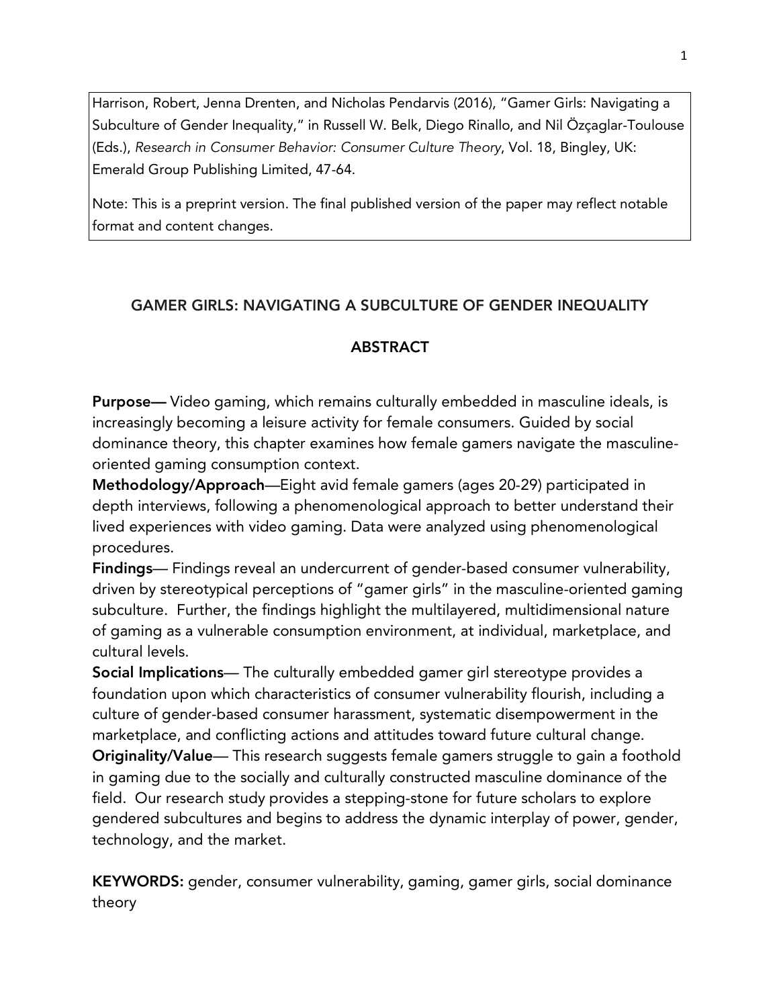Harrison, Robert, Jenna Drenten, and Nicholas Pendarvis (2016), "Gamer Girls: Navigating a Subculture of Gender Inequality," in Russell W. Belk, Diego Rinallo, and Nil Özçaglar-Toulouse (Eds.), *Research in Consumer Behavior: Consumer Culture Theory*, Vol. 18, Bingley, UK: Emerald Group Publishing Limited, 47-64.

Note: This is a preprint version. The final published version of the paper may reflect notable format and content changes.

# GAMER GIRLS: NAVIGATING A SUBCULTURE OF GENDER INEQUALITY

# **ABSTRACT**

Purpose— Video gaming, which remains culturally embedded in masculine ideals, is increasingly becoming a leisure activity for female consumers. Guided by social dominance theory, this chapter examines how female gamers navigate the masculineoriented gaming consumption context.

Methodology/Approach—Eight avid female gamers (ages 20-29) participated in depth interviews, following a phenomenological approach to better understand their lived experiences with video gaming. Data were analyzed using phenomenological procedures.

Findings— Findings reveal an undercurrent of gender-based consumer vulnerability, driven by stereotypical perceptions of "gamer girls" in the masculine-oriented gaming subculture. Further, the findings highlight the multilayered, multidimensional nature of gaming as a vulnerable consumption environment, at individual, marketplace, and cultural levels.

Social Implications— The culturally embedded gamer girl stereotype provides a foundation upon which characteristics of consumer vulnerability flourish, including a culture of gender-based consumer harassment, systematic disempowerment in the marketplace, and conflicting actions and attitudes toward future cultural change. Originality/Value— This research suggests female gamers struggle to gain a foothold in gaming due to the socially and culturally constructed masculine dominance of the field. Our research study provides a stepping-stone for future scholars to explore gendered subcultures and begins to address the dynamic interplay of power, gender, technology, and the market.

KEYWORDS: gender, consumer vulnerability, gaming, gamer girls, social dominance theory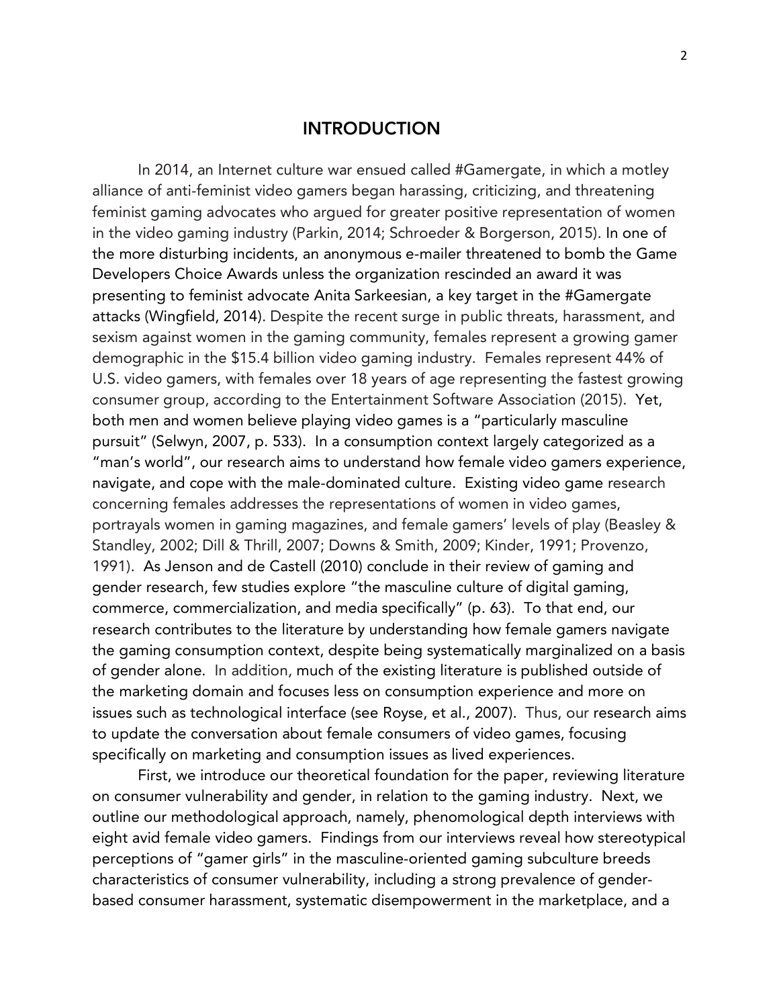# INTRODUCTION

In 2014, an Internet culture war ensued called #Gamergate, in which a motley alliance of anti-feminist video gamers began harassing, criticizing, and threatening feminist gaming advocates who argued for greater positive representation of women in the video gaming industry (Parkin, 2014; Schroeder & Borgerson, 2015). In one of the more disturbing incidents, an anonymous e-mailer threatened to bomb the Game Developers Choice Awards unless the organization rescinded an award it was presenting to feminist advocate Anita Sarkeesian, a key target in the #Gamergate attacks (Wingfield, 2014). Despite the recent surge in public threats, harassment, and sexism against women in the gaming community, females represent a growing gamer demographic in the \$15.4 billion video gaming industry. Females represent 44% of U.S. video gamers, with females over 18 years of age representing the fastest growing consumer group, according to the Entertainment Software Association (2015). Yet, both men and women believe playing video games is a "particularly masculine pursuit" (Selwyn, 2007, p. 533). In a consumption context largely categorized as a "man's world", our research aims to understand how female video gamers experience, navigate, and cope with the male-dominated culture. Existing video game research concerning females addresses the representations of women in video games, portrayals women in gaming magazines, and female gamers' levels of play (Beasley & Standley, 2002; Dill & Thrill, 2007; Downs & Smith, 2009; Kinder, 1991; Provenzo, 1991). As Jenson and de Castell (2010) conclude in their review of gaming and gender research, few studies explore "the masculine culture of digital gaming, commerce, commercialization, and media specifically" (p. 63). To that end, our research contributes to the literature by understanding how female gamers navigate the gaming consumption context, despite being systematically marginalized on a basis of gender alone. In addition, much of the existing literature is published outside of the marketing domain and focuses less on consumption experience and more on issues such as technological interface (see Royse, et al., 2007). Thus, our research aims to update the conversation about female consumers of video games, focusing specifically on marketing and consumption issues as lived experiences.

First, we introduce our theoretical foundation for the paper, reviewing literature on consumer vulnerability and gender, in relation to the gaming industry. Next, we outline our methodological approach, namely, phenomological depth interviews with eight avid female video gamers. Findings from our interviews reveal how stereotypical perceptions of "gamer girls" in the masculine-oriented gaming subculture breeds characteristics of consumer vulnerability, including a strong prevalence of genderbased consumer harassment, systematic disempowerment in the marketplace, and a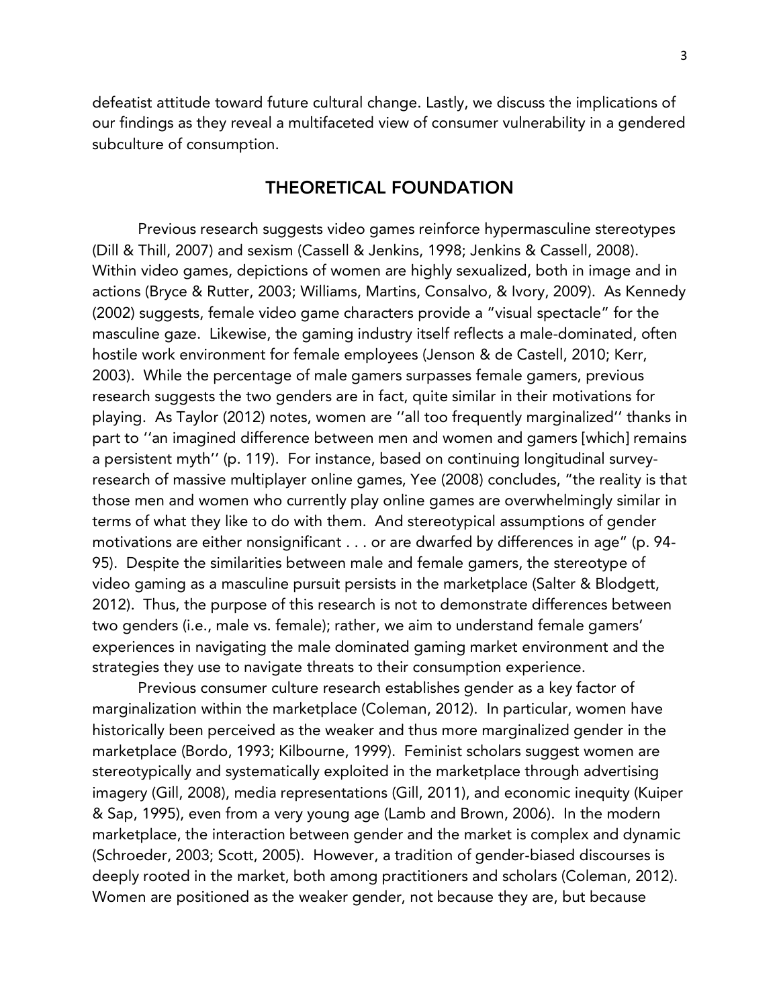defeatist attitude toward future cultural change. Lastly, we discuss the implications of our findings as they reveal a multifaceted view of consumer vulnerability in a gendered subculture of consumption.

# THEORETICAL FOUNDATION

Previous research suggests video games reinforce hypermasculine stereotypes (Dill & Thill, 2007) and sexism (Cassell & Jenkins, 1998; Jenkins & Cassell, 2008). Within video games, depictions of women are highly sexualized, both in image and in actions (Bryce & Rutter, 2003; Williams, Martins, Consalvo, & Ivory, 2009). As Kennedy (2002) suggests, female video game characters provide a "visual spectacle" for the masculine gaze. Likewise, the gaming industry itself reflects a male-dominated, often hostile work environment for female employees (Jenson & de Castell, 2010; Kerr, 2003). While the percentage of male gamers surpasses female gamers, previous research suggests the two genders are in fact, quite similar in their motivations for playing. As Taylor (2012) notes, women are ''all too frequently marginalized'' thanks in part to ''an imagined difference between men and women and gamers [which] remains a persistent myth'' (p. 119). For instance, based on continuing longitudinal surveyresearch of massive multiplayer online games, Yee (2008) concludes, "the reality is that those men and women who currently play online games are overwhelmingly similar in terms of what they like to do with them. And stereotypical assumptions of gender motivations are either nonsignificant . . . or are dwarfed by differences in age" (p. 94- 95). Despite the similarities between male and female gamers, the stereotype of video gaming as a masculine pursuit persists in the marketplace (Salter & Blodgett, 2012). Thus, the purpose of this research is not to demonstrate differences between two genders (i.e., male vs. female); rather, we aim to understand female gamers' experiences in navigating the male dominated gaming market environment and the strategies they use to navigate threats to their consumption experience.

Previous consumer culture research establishes gender as a key factor of marginalization within the marketplace (Coleman, 2012). In particular, women have historically been perceived as the weaker and thus more marginalized gender in the marketplace (Bordo, 1993; Kilbourne, 1999). Feminist scholars suggest women are stereotypically and systematically exploited in the marketplace through advertising imagery (Gill, 2008), media representations (Gill, 2011), and economic inequity (Kuiper & Sap, 1995), even from a very young age (Lamb and Brown, 2006). In the modern marketplace, the interaction between gender and the market is complex and dynamic (Schroeder, 2003; Scott, 2005). However, a tradition of gender-biased discourses is deeply rooted in the market, both among practitioners and scholars (Coleman, 2012). Women are positioned as the weaker gender, not because they are, but because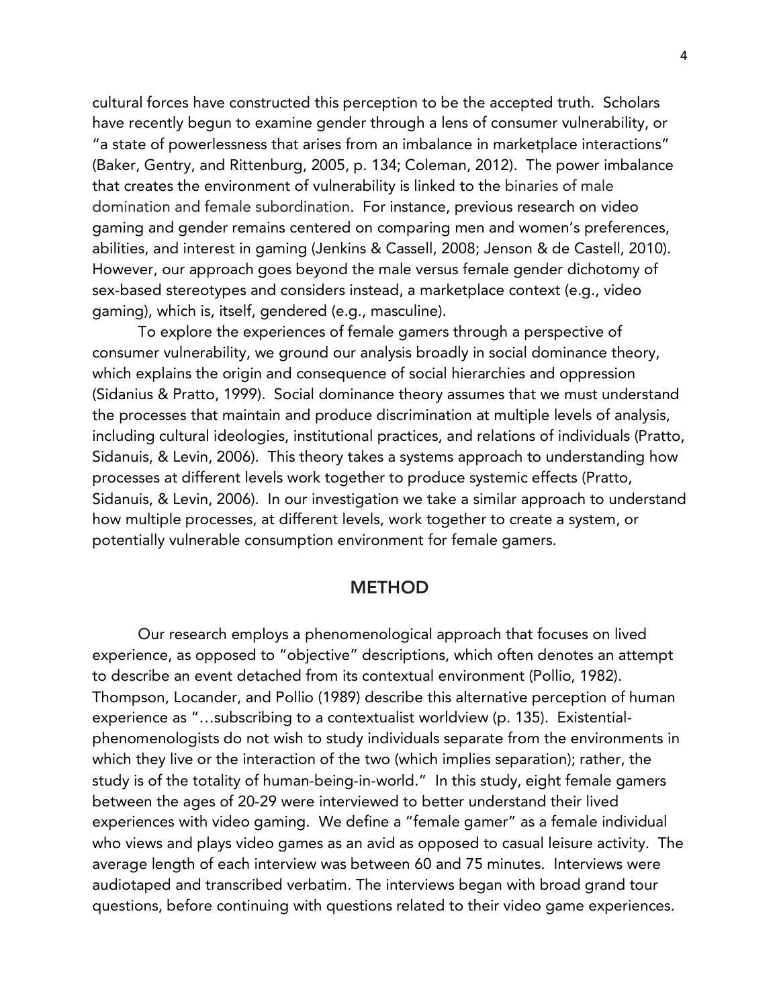cultural forces have constructed this perception to be the accepted truth. Scholars have recently begun to examine gender through a lens of consumer vulnerability, or "a state of powerlessness that arises from an imbalance in marketplace interactions" (Baker, Gentry, and Rittenburg, 2005, p. 134; Coleman, 2012). The power imbalance that creates the environment of vulnerability is linked to the binaries of male domination and female subordination. For instance, previous research on video gaming and gender remains centered on comparing men and women's preferences, abilities, and interest in gaming (Jenkins & Cassell, 2008; Jenson & de Castell, 2010). However, our approach goes beyond the male versus female gender dichotomy of sex-based stereotypes and considers instead, a marketplace context (e.g., video gaming), which is, itself, gendered (e.g., masculine).

To explore the experiences of female gamers through a perspective of consumer vulnerability, we ground our analysis broadly in social dominance theory, which explains the origin and consequence of social hierarchies and oppression (Sidanius & Pratto, 1999). Social dominance theory assumes that we must understand the processes that maintain and produce discrimination at multiple levels of analysis, including cultural ideologies, institutional practices, and relations of individuals (Pratto, Sidanuis, & Levin, 2006). This theory takes a systems approach to understanding how processes at different levels work together to produce systemic effects (Pratto, Sidanuis, & Levin, 2006). In our investigation we take a similar approach to understand how multiple processes, at different levels, work together to create a system, or potentially vulnerable consumption environment for female gamers.

# **METHOD**

Our research employs a phenomenological approach that focuses on lived experience, as opposed to "objective" descriptions, which often denotes an attempt to describe an event detached from its contextual environment (Pollio, 1982). Thompson, Locander, and Pollio (1989) describe this alternative perception of human experience as "…subscribing to a contextualist worldview (p. 135). Existentialphenomenologists do not wish to study individuals separate from the environments in which they live or the interaction of the two (which implies separation); rather, the study is of the totality of human-being-in-world." In this study, eight female gamers between the ages of 20-29 were interviewed to better understand their lived experiences with video gaming. We define a "female gamer" as a female individual who views and plays video games as an avid as opposed to casual leisure activity. The average length of each interview was between 60 and 75 minutes. Interviews were audiotaped and transcribed verbatim. The interviews began with broad grand tour questions, before continuing with questions related to their video game experiences.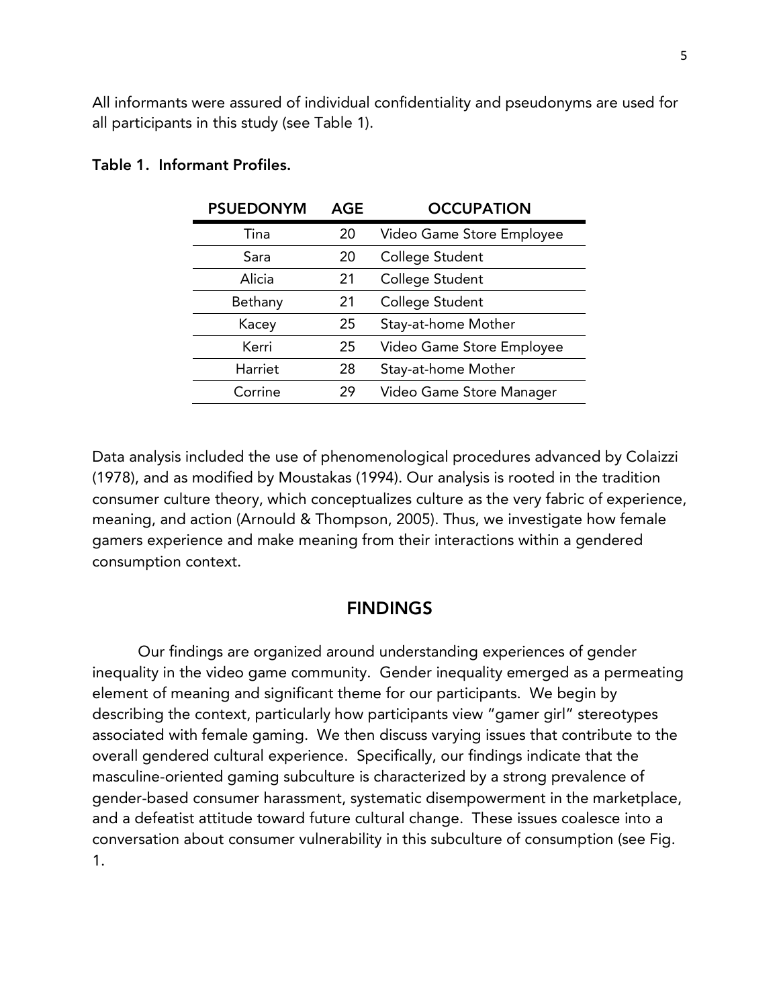All informants were assured of individual confidentiality and pseudonyms are used for all participants in this study (see Table 1).

| <b>PSUEDONYM</b> | <b>AGE</b> | <b>OCCUPATION</b>         |
|------------------|------------|---------------------------|
| Tina             | 20         | Video Game Store Employee |
| Sara             | 20         | College Student           |
| Alicia           | 21         | College Student           |
| Bethany          | 21         | College Student           |
| Kacey            | 25         | Stay-at-home Mother       |
| Kerri            | 25         | Video Game Store Employee |
| Harriet          | 28         | Stay-at-home Mother       |
| Corrine          | 29         | Video Game Store Manager  |
|                  |            |                           |

## Table 1. Informant Profiles.

Data analysis included the use of phenomenological procedures advanced by Colaizzi (1978), and as modified by Moustakas (1994). Our analysis is rooted in the tradition consumer culture theory, which conceptualizes culture as the very fabric of experience, meaning, and action (Arnould & Thompson, 2005). Thus, we investigate how female gamers experience and make meaning from their interactions within a gendered consumption context.

# **FINDINGS**

Our findings are organized around understanding experiences of gender inequality in the video game community. Gender inequality emerged as a permeating element of meaning and significant theme for our participants. We begin by describing the context, particularly how participants view "gamer girl" stereotypes associated with female gaming. We then discuss varying issues that contribute to the overall gendered cultural experience. Specifically, our findings indicate that the masculine-oriented gaming subculture is characterized by a strong prevalence of gender-based consumer harassment, systematic disempowerment in the marketplace, and a defeatist attitude toward future cultural change. These issues coalesce into a conversation about consumer vulnerability in this subculture of consumption (see Fig. 1.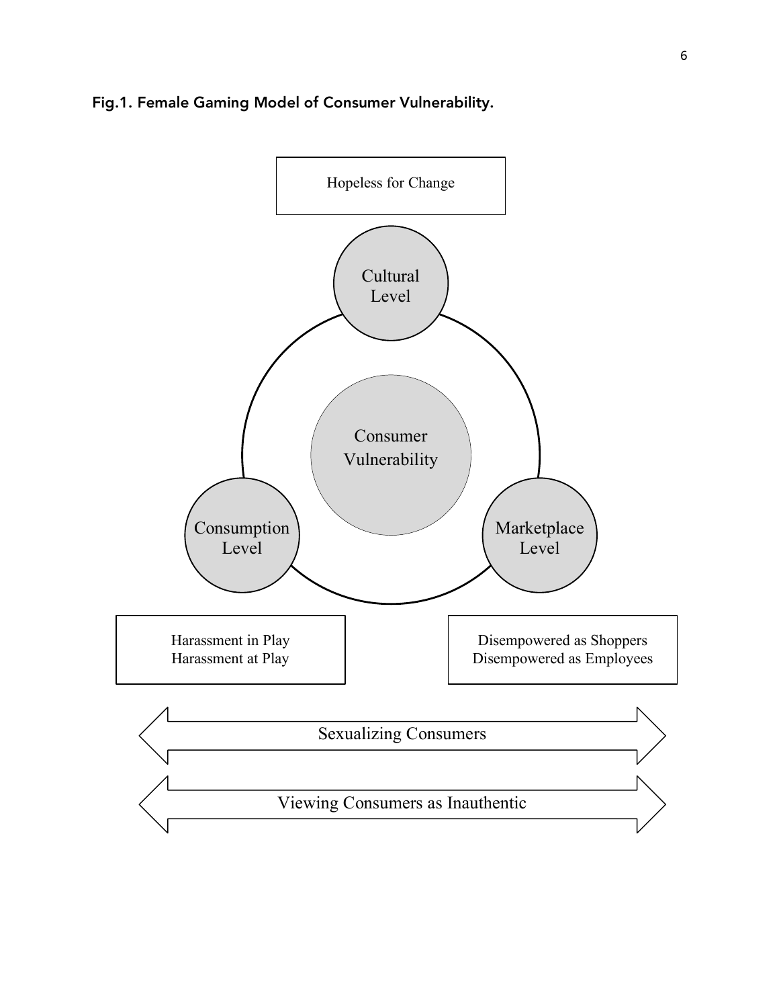# Fig.1. Female Gaming Model of Consumer Vulnerability.

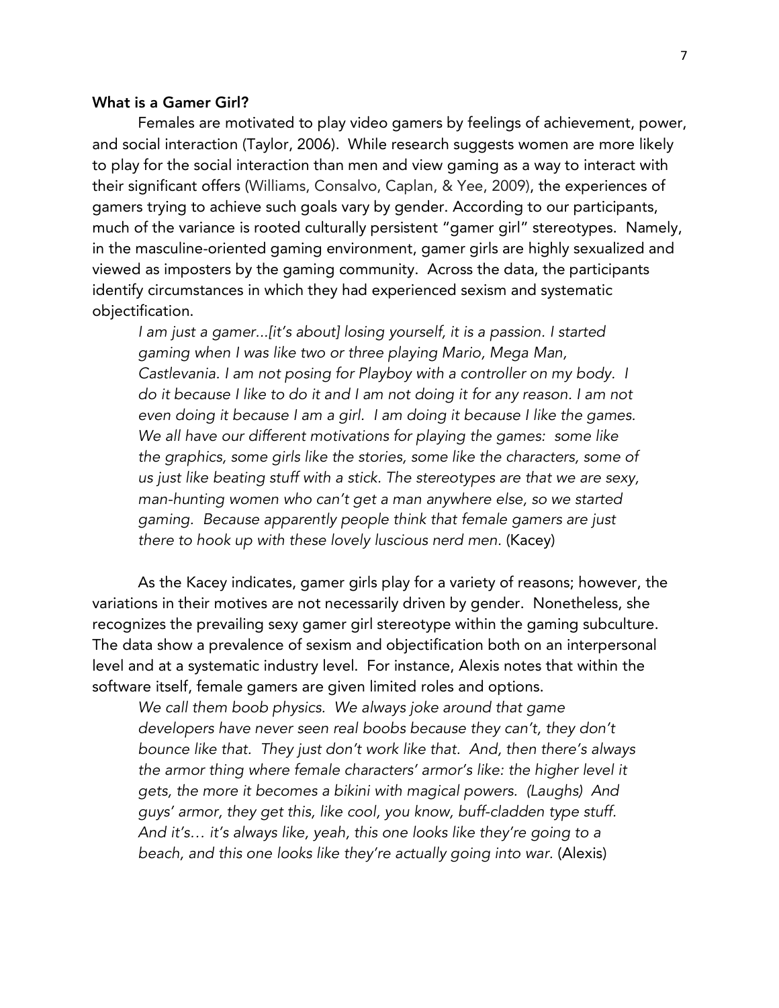## What is a Gamer Girl?

Females are motivated to play video gamers by feelings of achievement, power, and social interaction (Taylor, 2006). While research suggests women are more likely to play for the social interaction than men and view gaming as a way to interact with their significant offers (Williams, Consalvo, Caplan, & Yee, 2009), the experiences of gamers trying to achieve such goals vary by gender. According to our participants, much of the variance is rooted culturally persistent "gamer girl" stereotypes. Namely, in the masculine-oriented gaming environment, gamer girls are highly sexualized and viewed as imposters by the gaming community. Across the data, the participants identify circumstances in which they had experienced sexism and systematic objectification.

*I am just a gamer...[it's about] losing yourself, it is a passion. I started gaming when I was like two or three playing Mario, Mega Man, Castlevania. I am not posing for Playboy with a controller on my body. I do it because I like to do it and I am not doing it for any reason. I am not even doing it because I am a girl. I am doing it because I like the games. We all have our different motivations for playing the games: some like the graphics, some girls like the stories, some like the characters, some of us just like beating stuff with a stick. The stereotypes are that we are sexy, man-hunting women who can't get a man anywhere else, so we started gaming. Because apparently people think that female gamers are just there to hook up with these lovely luscious nerd men.* (Kacey)

As the Kacey indicates, gamer girls play for a variety of reasons; however, the variations in their motives are not necessarily driven by gender. Nonetheless, she recognizes the prevailing sexy gamer girl stereotype within the gaming subculture. The data show a prevalence of sexism and objectification both on an interpersonal level and at a systematic industry level. For instance, Alexis notes that within the software itself, female gamers are given limited roles and options.

*We call them boob physics. We always joke around that game developers have never seen real boobs because they can't, they don't bounce like that. They just don't work like that. And, then there's always the armor thing where female characters' armor's like: the higher level it gets, the more it becomes a bikini with magical powers. (Laughs) And guys' armor, they get this, like cool, you know, buff-cladden type stuff. And it's… it's always like, yeah, this one looks like they're going to a beach, and this one looks like they're actually going into war.* (Alexis)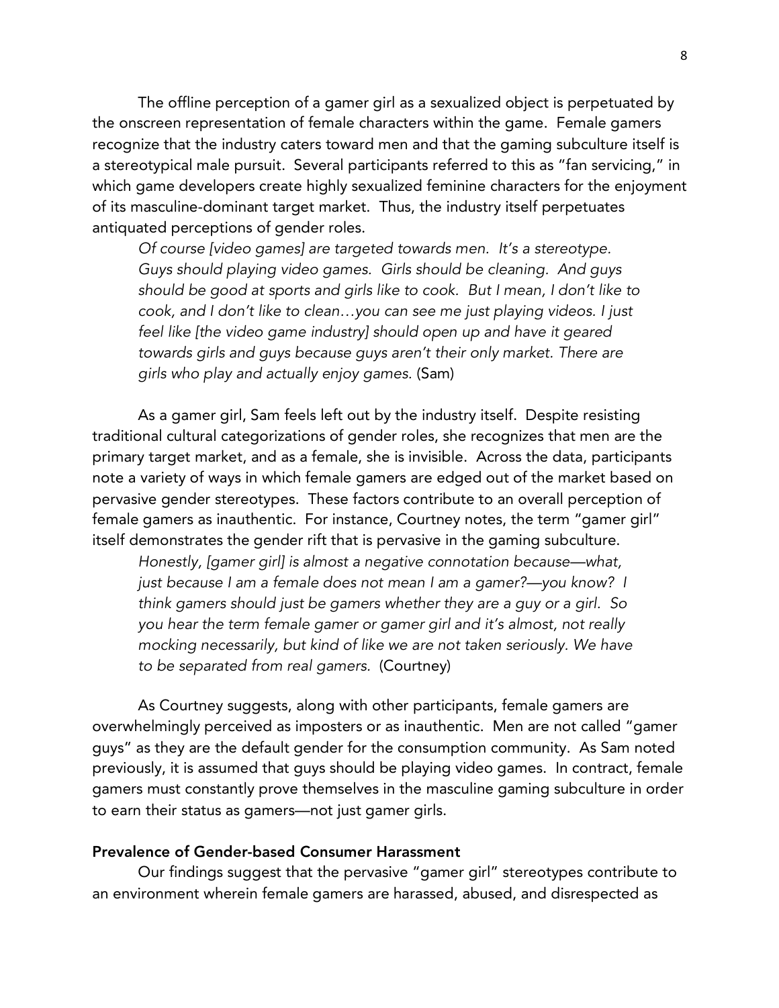The offline perception of a gamer girl as a sexualized object is perpetuated by the onscreen representation of female characters within the game. Female gamers recognize that the industry caters toward men and that the gaming subculture itself is a stereotypical male pursuit. Several participants referred to this as "fan servicing," in which game developers create highly sexualized feminine characters for the enjoyment of its masculine-dominant target market. Thus, the industry itself perpetuates antiquated perceptions of gender roles.

*Of course [video games] are targeted towards men. It's a stereotype. Guys should playing video games. Girls should be cleaning. And guys should be good at sports and girls like to cook. But I mean, I don't like to cook, and I don't like to clean…you can see me just playing videos. I just feel like [the video game industry] should open up and have it geared towards girls and guys because guys aren't their only market. There are girls who play and actually enjoy games.* (Sam)

As a gamer girl, Sam feels left out by the industry itself. Despite resisting traditional cultural categorizations of gender roles, she recognizes that men are the primary target market, and as a female, she is invisible. Across the data, participants note a variety of ways in which female gamers are edged out of the market based on pervasive gender stereotypes. These factors contribute to an overall perception of female gamers as inauthentic. For instance, Courtney notes, the term "gamer girl" itself demonstrates the gender rift that is pervasive in the gaming subculture.

*Honestly, [gamer girl] is almost a negative connotation because—what, just because I am a female does not mean I am a gamer?—you know? I think gamers should just be gamers whether they are a guy or a girl. So you hear the term female gamer or gamer girl and it's almost, not really mocking necessarily, but kind of like we are not taken seriously. We have to be separated from real gamers.* (Courtney)

As Courtney suggests, along with other participants, female gamers are overwhelmingly perceived as imposters or as inauthentic. Men are not called "gamer guys" as they are the default gender for the consumption community. As Sam noted previously, it is assumed that guys should be playing video games. In contract, female gamers must constantly prove themselves in the masculine gaming subculture in order to earn their status as gamers—not just gamer girls.

#### Prevalence of Gender-based Consumer Harassment

Our findings suggest that the pervasive "gamer girl" stereotypes contribute to an environment wherein female gamers are harassed, abused, and disrespected as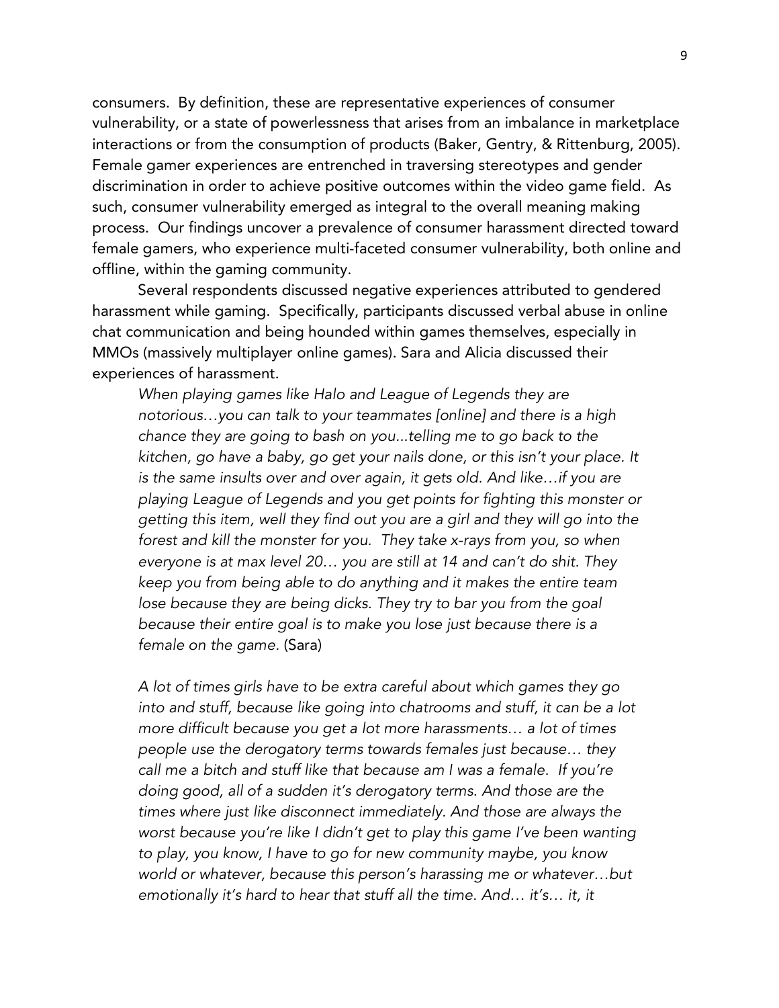consumers. By definition, these are representative experiences of consumer vulnerability, or a state of powerlessness that arises from an imbalance in marketplace interactions or from the consumption of products (Baker, Gentry, & Rittenburg, 2005). Female gamer experiences are entrenched in traversing stereotypes and gender discrimination in order to achieve positive outcomes within the video game field. As such, consumer vulnerability emerged as integral to the overall meaning making process. Our findings uncover a prevalence of consumer harassment directed toward female gamers, who experience multi-faceted consumer vulnerability, both online and offline, within the gaming community.

Several respondents discussed negative experiences attributed to gendered harassment while gaming. Specifically, participants discussed verbal abuse in online chat communication and being hounded within games themselves, especially in MMOs (massively multiplayer online games). Sara and Alicia discussed their experiences of harassment.

*When playing games like Halo and League of Legends they are notorious…you can talk to your teammates [online] and there is a high chance they are going to bash on you...telling me to go back to the kitchen, go have a baby, go get your nails done, or this isn't your place. It is the same insults over and over again, it gets old. And like…if you are playing League of Legends and you get points for fighting this monster or getting this item, well they find out you are a girl and they will go into the forest and kill the monster for you. They take x-rays from you, so when everyone is at max level 20… you are still at 14 and can't do shit. They keep you from being able to do anything and it makes the entire team lose because they are being dicks. They try to bar you from the goal because their entire goal is to make you lose just because there is a female on the game.* (Sara)

*A lot of times girls have to be extra careful about which games they go into and stuff, because like going into chatrooms and stuff, it can be a lot more difficult because you get a lot more harassments… a lot of times people use the derogatory terms towards females just because… they call me a bitch and stuff like that because am I was a female. If you're doing good, all of a sudden it's derogatory terms. And those are the times where just like disconnect immediately. And those are always the worst because you're like I didn't get to play this game I've been wanting to play, you know, I have to go for new community maybe, you know world or whatever, because this person's harassing me or whatever…but emotionally it's hard to hear that stuff all the time. And… it's… it, it*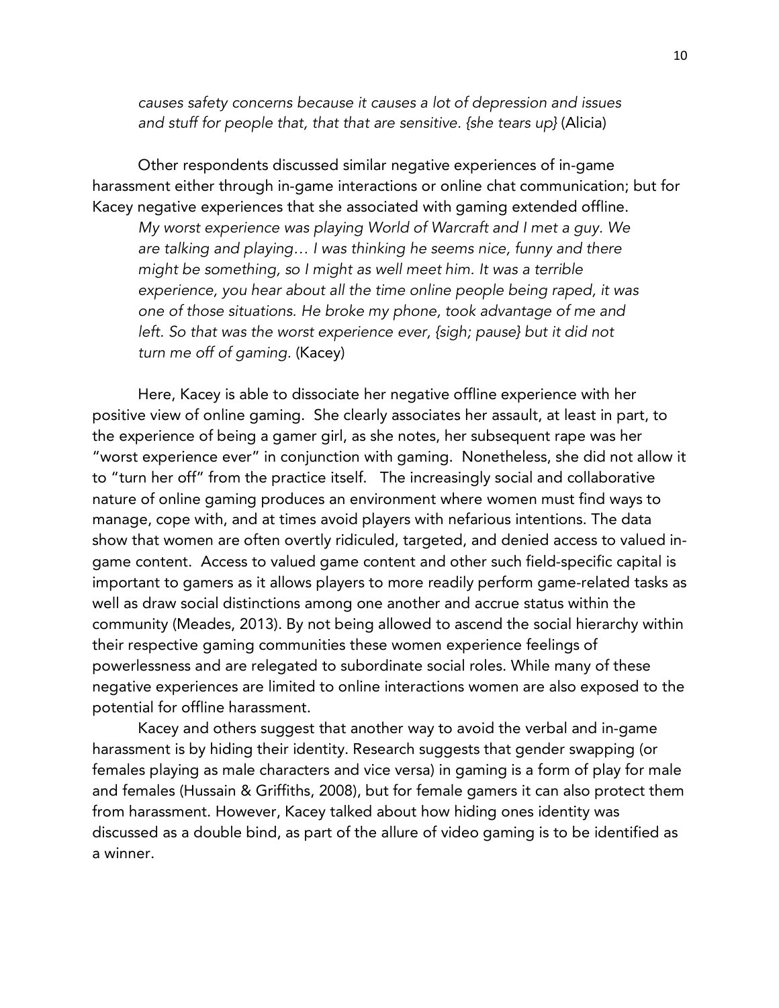*causes safety concerns because it causes a lot of depression and issues and stuff for people that, that that are sensitive. {she tears up}* (Alicia)

Other respondents discussed similar negative experiences of in-game harassment either through in-game interactions or online chat communication; but for Kacey negative experiences that she associated with gaming extended offline. *My worst experience was playing World of Warcraft and I met a guy. We are talking and playing… I was thinking he seems nice, funny and there might be something, so I might as well meet him. It was a terrible experience, you hear about all the time online people being raped, it was one of those situations. He broke my phone, took advantage of me and left. So that was the worst experience ever, {sigh; pause} but it did not turn me off of gaming.* (Kacey)

Here, Kacey is able to dissociate her negative offline experience with her positive view of online gaming. She clearly associates her assault, at least in part, to the experience of being a gamer girl, as she notes, her subsequent rape was her "worst experience ever" in conjunction with gaming. Nonetheless, she did not allow it to "turn her off" from the practice itself. The increasingly social and collaborative nature of online gaming produces an environment where women must find ways to manage, cope with, and at times avoid players with nefarious intentions. The data show that women are often overtly ridiculed, targeted, and denied access to valued ingame content. Access to valued game content and other such field-specific capital is important to gamers as it allows players to more readily perform game-related tasks as well as draw social distinctions among one another and accrue status within the community (Meades, 2013). By not being allowed to ascend the social hierarchy within their respective gaming communities these women experience feelings of powerlessness and are relegated to subordinate social roles. While many of these negative experiences are limited to online interactions women are also exposed to the potential for offline harassment.

Kacey and others suggest that another way to avoid the verbal and in-game harassment is by hiding their identity. Research suggests that gender swapping (or females playing as male characters and vice versa) in gaming is a form of play for male and females (Hussain & Griffiths, 2008), but for female gamers it can also protect them from harassment. However, Kacey talked about how hiding ones identity was discussed as a double bind, as part of the allure of video gaming is to be identified as a winner.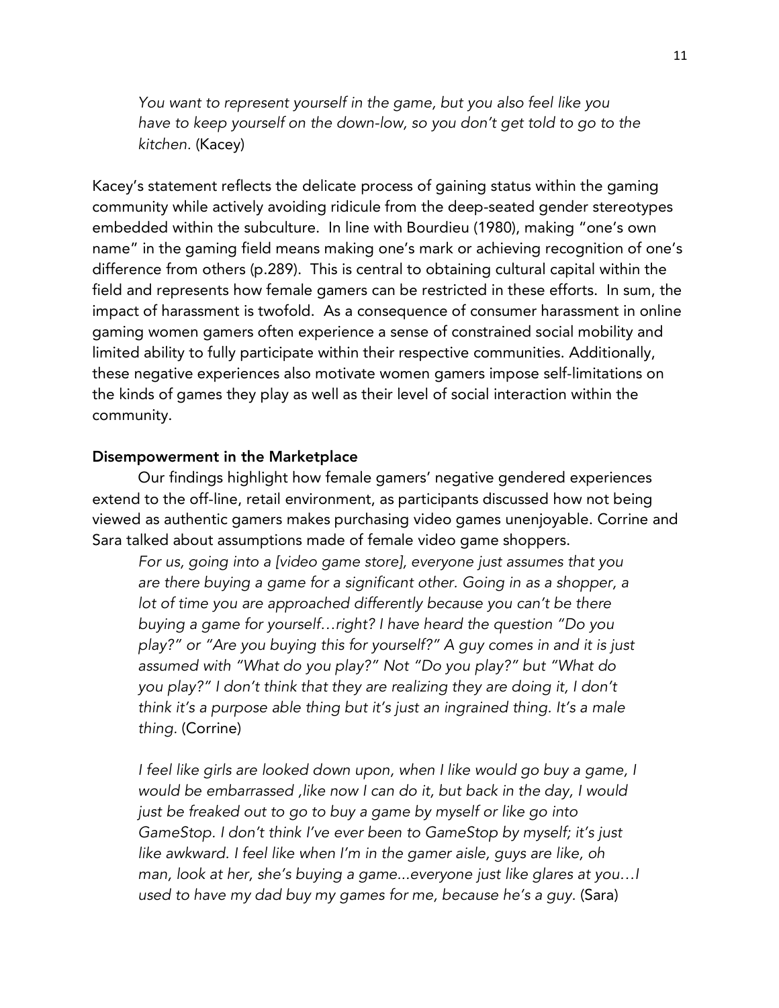*You want to represent yourself in the game, but you also feel like you have to keep yourself on the down-low, so you don't get told to go to the kitchen.* (Kacey)

Kacey's statement reflects the delicate process of gaining status within the gaming community while actively avoiding ridicule from the deep-seated gender stereotypes embedded within the subculture. In line with Bourdieu (1980), making "one's own name" in the gaming field means making one's mark or achieving recognition of one's difference from others (p.289). This is central to obtaining cultural capital within the field and represents how female gamers can be restricted in these efforts. In sum, the impact of harassment is twofold. As a consequence of consumer harassment in online gaming women gamers often experience a sense of constrained social mobility and limited ability to fully participate within their respective communities. Additionally, these negative experiences also motivate women gamers impose self-limitations on the kinds of games they play as well as their level of social interaction within the community.

#### Disempowerment in the Marketplace

Our findings highlight how female gamers' negative gendered experiences extend to the off-line, retail environment, as participants discussed how not being viewed as authentic gamers makes purchasing video games unenjoyable. Corrine and Sara talked about assumptions made of female video game shoppers.

*For us, going into a [video game store], everyone just assumes that you are there buying a game for a significant other. Going in as a shopper, a lot of time you are approached differently because you can't be there buying a game for yourself…right? I have heard the question "Do you play?" or "Are you buying this for yourself?" A guy comes in and it is just assumed with "What do you play?" Not "Do you play?" but "What do you play?" I don't think that they are realizing they are doing it, I don't think it's a purpose able thing but it's just an ingrained thing. It's a male thing.* (Corrine)

*I feel like girls are looked down upon, when I like would go buy a game, I would be embarrassed ,like now I can do it, but back in the day, I would just be freaked out to go to buy a game by myself or like go into GameStop. I don't think I've ever been to GameStop by myself; it's just like awkward. I feel like when I'm in the gamer aisle, guys are like, oh man, look at her, she's buying a game...everyone just like glares at you…I used to have my dad buy my games for me, because he's a guy.* (Sara)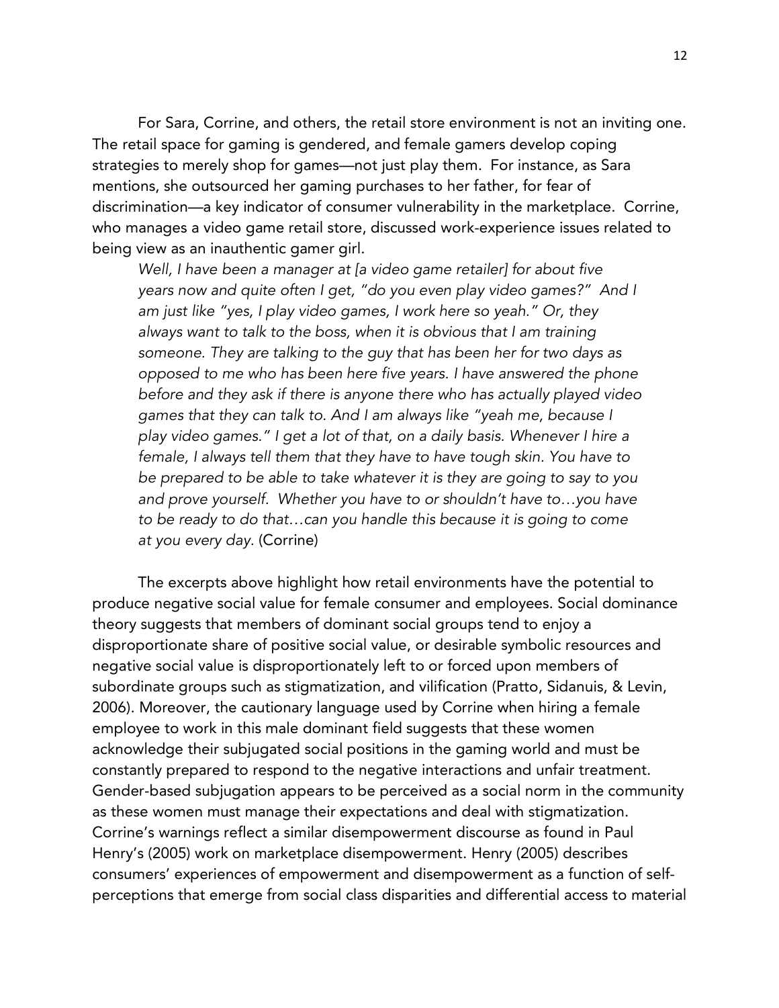For Sara, Corrine, and others, the retail store environment is not an inviting one. The retail space for gaming is gendered, and female gamers develop coping strategies to merely shop for games—not just play them. For instance, as Sara mentions, she outsourced her gaming purchases to her father, for fear of discrimination—a key indicator of consumer vulnerability in the marketplace. Corrine, who manages a video game retail store, discussed work-experience issues related to being view as an inauthentic gamer girl.

*Well, I have been a manager at [a video game retailer] for about five years now and quite often I get, "do you even play video games?" And I am just like "yes, I play video games, I work here so yeah." Or, they always want to talk to the boss, when it is obvious that I am training someone. They are talking to the guy that has been her for two days as opposed to me who has been here five years. I have answered the phone before and they ask if there is anyone there who has actually played video games that they can talk to. And I am always like "yeah me, because I play video games." I get a lot of that, on a daily basis. Whenever I hire a female, I always tell them that they have to have tough skin. You have to be prepared to be able to take whatever it is they are going to say to you and prove yourself. Whether you have to or shouldn't have to…you have to be ready to do that…can you handle this because it is going to come at you every day.* (Corrine)

The excerpts above highlight how retail environments have the potential to produce negative social value for female consumer and employees. Social dominance theory suggests that members of dominant social groups tend to enjoy a disproportionate share of positive social value, or desirable symbolic resources and negative social value is disproportionately left to or forced upon members of subordinate groups such as stigmatization, and vilification (Pratto, Sidanuis, & Levin, 2006). Moreover, the cautionary language used by Corrine when hiring a female employee to work in this male dominant field suggests that these women acknowledge their subjugated social positions in the gaming world and must be constantly prepared to respond to the negative interactions and unfair treatment. Gender-based subjugation appears to be perceived as a social norm in the community as these women must manage their expectations and deal with stigmatization. Corrine's warnings reflect a similar disempowerment discourse as found in Paul Henry's (2005) work on marketplace disempowerment. Henry (2005) describes consumers' experiences of empowerment and disempowerment as a function of selfperceptions that emerge from social class disparities and differential access to material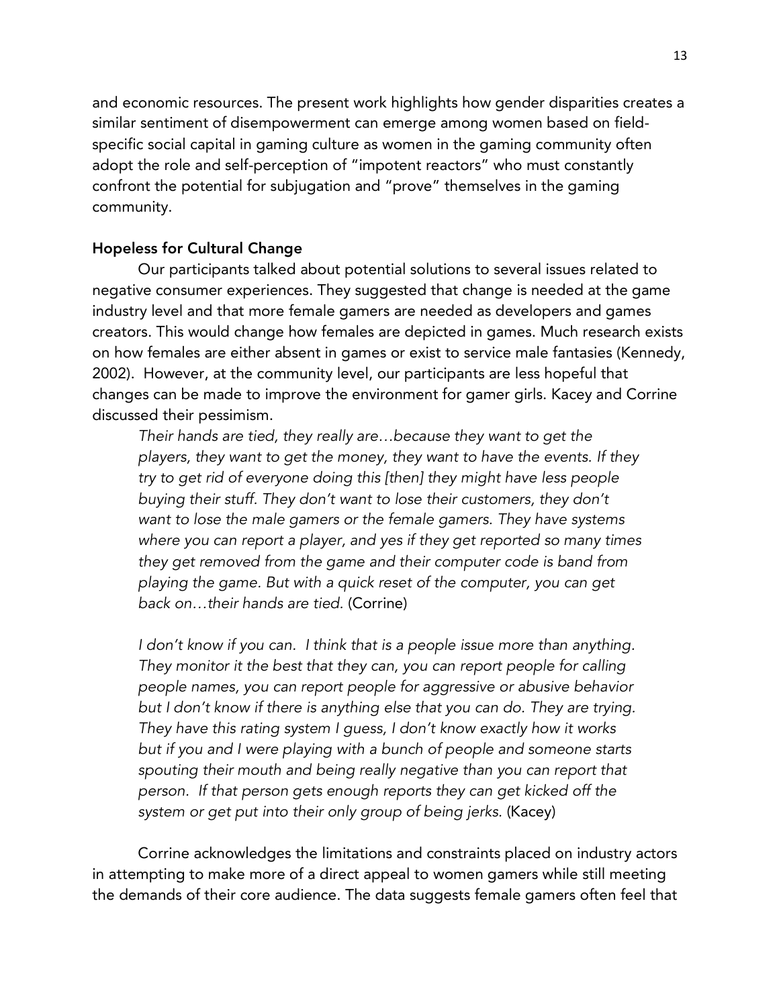and economic resources. The present work highlights how gender disparities creates a similar sentiment of disempowerment can emerge among women based on fieldspecific social capital in gaming culture as women in the gaming community often adopt the role and self-perception of "impotent reactors" who must constantly confront the potential for subjugation and "prove" themselves in the gaming community.

### Hopeless for Cultural Change

Our participants talked about potential solutions to several issues related to negative consumer experiences. They suggested that change is needed at the game industry level and that more female gamers are needed as developers and games creators. This would change how females are depicted in games. Much research exists on how females are either absent in games or exist to service male fantasies (Kennedy, 2002). However, at the community level, our participants are less hopeful that changes can be made to improve the environment for gamer girls. Kacey and Corrine discussed their pessimism.

*Their hands are tied, they really are…because they want to get the players, they want to get the money, they want to have the events. If they try to get rid of everyone doing this [then] they might have less people buying their stuff. They don't want to lose their customers, they don't want to lose the male gamers or the female gamers. They have systems where you can report a player, and yes if they get reported so many times they get removed from the game and their computer code is band from playing the game. But with a quick reset of the computer, you can get back on…their hands are tied.* (Corrine)

*I don't know if you can. I think that is a people issue more than anything. They monitor it the best that they can, you can report people for calling people names, you can report people for aggressive or abusive behavior but I don't know if there is anything else that you can do. They are trying. They have this rating system I guess, I don't know exactly how it works but if you and I were playing with a bunch of people and someone starts spouting their mouth and being really negative than you can report that person. If that person gets enough reports they can get kicked off the system or get put into their only group of being jerks.* (Kacey)

Corrine acknowledges the limitations and constraints placed on industry actors in attempting to make more of a direct appeal to women gamers while still meeting the demands of their core audience. The data suggests female gamers often feel that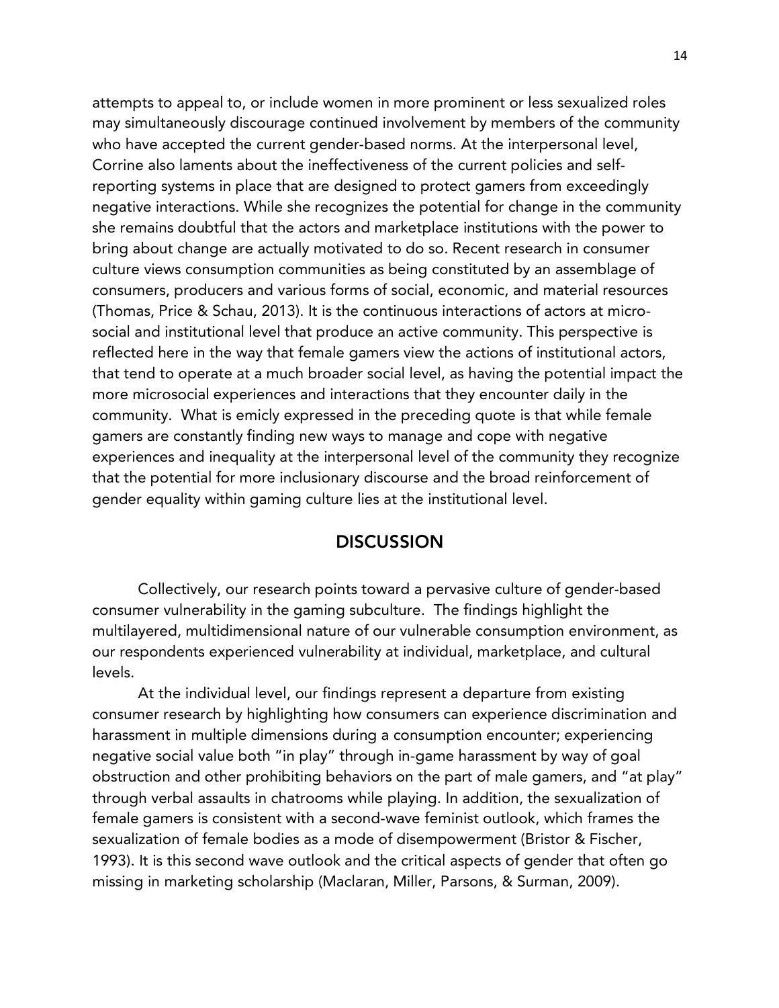attempts to appeal to, or include women in more prominent or less sexualized roles may simultaneously discourage continued involvement by members of the community who have accepted the current gender-based norms. At the interpersonal level, Corrine also laments about the ineffectiveness of the current policies and selfreporting systems in place that are designed to protect gamers from exceedingly negative interactions. While she recognizes the potential for change in the community she remains doubtful that the actors and marketplace institutions with the power to bring about change are actually motivated to do so. Recent research in consumer culture views consumption communities as being constituted by an assemblage of consumers, producers and various forms of social, economic, and material resources (Thomas, Price & Schau, 2013). It is the continuous interactions of actors at microsocial and institutional level that produce an active community. This perspective is reflected here in the way that female gamers view the actions of institutional actors, that tend to operate at a much broader social level, as having the potential impact the more microsocial experiences and interactions that they encounter daily in the community. What is emicly expressed in the preceding quote is that while female gamers are constantly finding new ways to manage and cope with negative experiences and inequality at the interpersonal level of the community they recognize that the potential for more inclusionary discourse and the broad reinforcement of gender equality within gaming culture lies at the institutional level.

# **DISCUSSION**

Collectively, our research points toward a pervasive culture of gender-based consumer vulnerability in the gaming subculture. The findings highlight the multilayered, multidimensional nature of our vulnerable consumption environment, as our respondents experienced vulnerability at individual, marketplace, and cultural levels.

At the individual level, our findings represent a departure from existing consumer research by highlighting how consumers can experience discrimination and harassment in multiple dimensions during a consumption encounter; experiencing negative social value both "in play" through in-game harassment by way of goal obstruction and other prohibiting behaviors on the part of male gamers, and "at play" through verbal assaults in chatrooms while playing. In addition, the sexualization of female gamers is consistent with a second-wave feminist outlook, which frames the sexualization of female bodies as a mode of disempowerment (Bristor & Fischer, 1993). It is this second wave outlook and the critical aspects of gender that often go missing in marketing scholarship (Maclaran, Miller, Parsons, & Surman, 2009).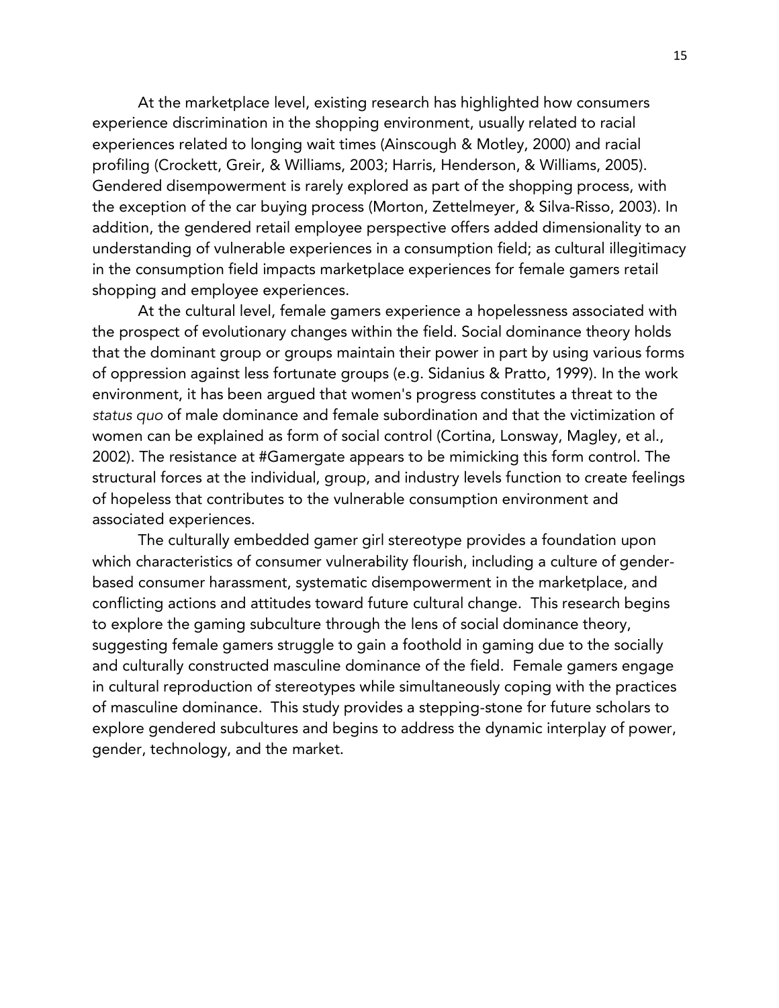At the marketplace level, existing research has highlighted how consumers experience discrimination in the shopping environment, usually related to racial experiences related to longing wait times (Ainscough & Motley, 2000) and racial profiling (Crockett, Greir, & Williams, 2003; Harris, Henderson, & Williams, 2005). Gendered disempowerment is rarely explored as part of the shopping process, with the exception of the car buying process (Morton, Zettelmeyer, & Silva-Risso, 2003). In addition, the gendered retail employee perspective offers added dimensionality to an understanding of vulnerable experiences in a consumption field; as cultural illegitimacy in the consumption field impacts marketplace experiences for female gamers retail shopping and employee experiences.

At the cultural level, female gamers experience a hopelessness associated with the prospect of evolutionary changes within the field. Social dominance theory holds that the dominant group or groups maintain their power in part by using various forms of oppression against less fortunate groups (e.g. Sidanius & Pratto, 1999). In the work environment, it has been argued that women's progress constitutes a threat to the *status quo* of male dominance and female subordination and that the victimization of women can be explained as form of social control (Cortina, Lonsway, Magley, et al., 2002). The resistance at #Gamergate appears to be mimicking this form control. The structural forces at the individual, group, and industry levels function to create feelings of hopeless that contributes to the vulnerable consumption environment and associated experiences.

The culturally embedded gamer girl stereotype provides a foundation upon which characteristics of consumer vulnerability flourish, including a culture of genderbased consumer harassment, systematic disempowerment in the marketplace, and conflicting actions and attitudes toward future cultural change. This research begins to explore the gaming subculture through the lens of social dominance theory, suggesting female gamers struggle to gain a foothold in gaming due to the socially and culturally constructed masculine dominance of the field. Female gamers engage in cultural reproduction of stereotypes while simultaneously coping with the practices of masculine dominance. This study provides a stepping-stone for future scholars to explore gendered subcultures and begins to address the dynamic interplay of power, gender, technology, and the market.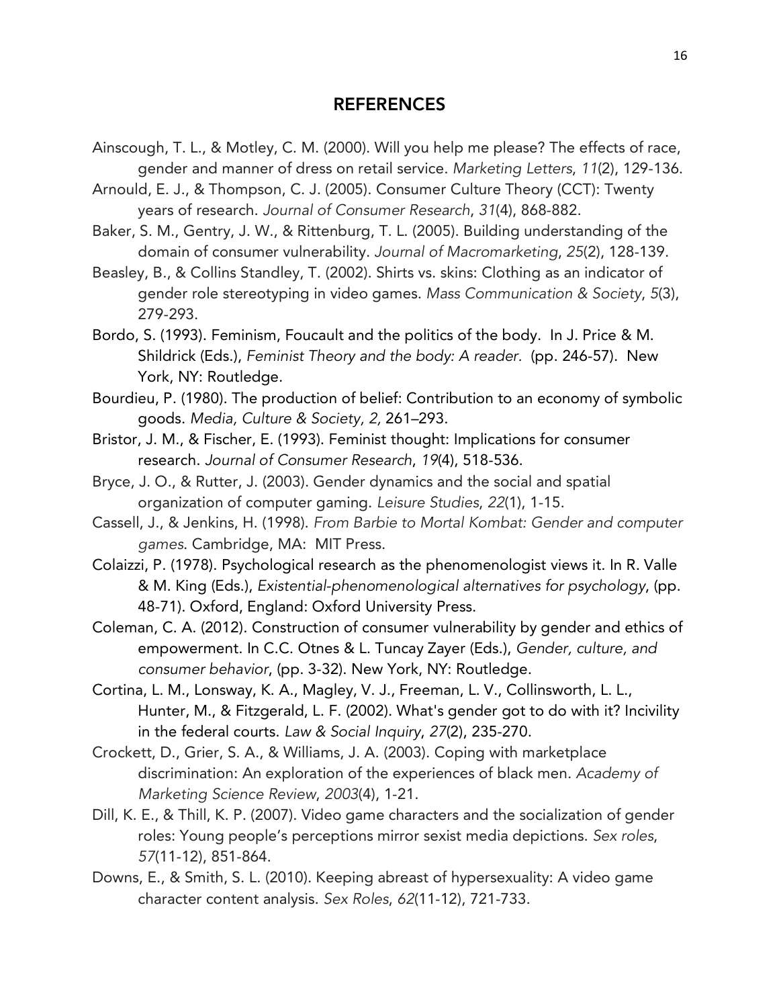## REFERENCES

- Ainscough, T. L., & Motley, C. M. (2000). Will you help me please? The effects of race, gender and manner of dress on retail service. *Marketing Letters*, *11*(2), 129-136.
- Arnould, E. J., & Thompson, C. J. (2005). Consumer Culture Theory (CCT): Twenty years of research. *Journal of Consumer Research*, *31*(4), 868-882.
- Baker, S. M., Gentry, J. W., & Rittenburg, T. L. (2005). Building understanding of the domain of consumer vulnerability. *Journal of Macromarketing*, *25*(2), 128-139.
- Beasley, B., & Collins Standley, T. (2002). Shirts vs. skins: Clothing as an indicator of gender role stereotyping in video games. *Mass Communication & Society*, *5*(3), 279-293.
- Bordo, S. (1993). Feminism, Foucault and the politics of the body. In J. Price & M. Shildrick (Eds.), *Feminist Theory and the body: A reader.* (pp. 246-57). New York, NY: Routledge.
- Bourdieu, P. (1980). The production of belief: Contribution to an economy of symbolic goods. *Media, Culture & Society, 2,* 261–293.
- Bristor, J. M., & Fischer, E. (1993). Feminist thought: Implications for consumer research. *Journal of Consumer Research*, *19*(4), 518-536.
- Bryce, J. O., & Rutter, J. (2003). Gender dynamics and the social and spatial organization of computer gaming. *Leisure Studies*, *22*(1), 1-15.
- Cassell, J., & Jenkins, H. (1998). *From Barbie to Mortal Kombat: Gender and computer games*. Cambridge, MA: MIT Press.
- Colaizzi, P. (1978). Psychological research as the phenomenologist views it. In R. Valle & M. King (Eds.), *Existential-phenomenological alternatives for psychology*, (pp. 48-71). Oxford, England: Oxford University Press.
- Coleman, C. A. (2012). Construction of consumer vulnerability by gender and ethics of empowerment. In C.C. Otnes & L. Tuncay Zayer (Eds.), *Gender, culture, and consumer behavior*, (pp. 3-32). New York, NY: Routledge.
- Cortina, L. M., Lonsway, K. A., Magley, V. J., Freeman, L. V., Collinsworth, L. L., Hunter, M., & Fitzgerald, L. F. (2002). What's gender got to do with it? Incivility in the federal courts. *Law & Social Inquiry*, *27*(2), 235-270.
- Crockett, D., Grier, S. A., & Williams, J. A. (2003). Coping with marketplace discrimination: An exploration of the experiences of black men. *Academy of Marketing Science Review*, *2003*(4), 1-21.
- Dill, K. E., & Thill, K. P. (2007). Video game characters and the socialization of gender roles: Young people's perceptions mirror sexist media depictions. *Sex roles*, *57*(11-12), 851-864.
- Downs, E., & Smith, S. L. (2010). Keeping abreast of hypersexuality: A video game character content analysis. *Sex Roles*, *62*(11-12), 721-733.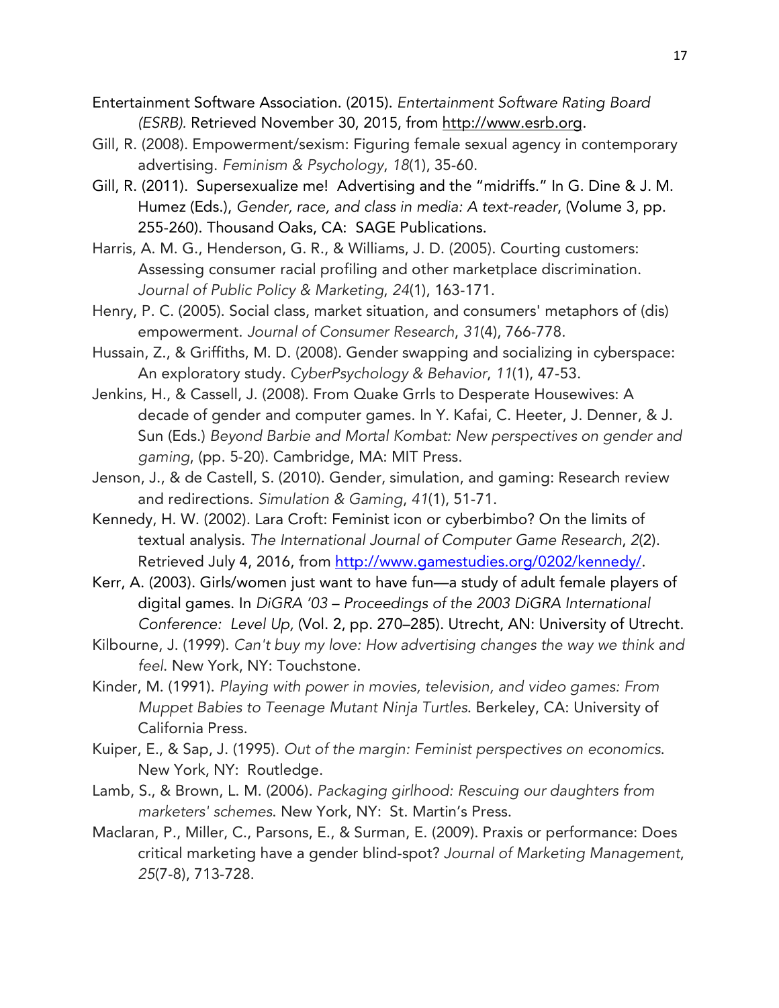- Entertainment Software Association. (2015). *Entertainment Software Rating Board (ESRB).* Retrieved November 30, 2015, from http://www.esrb.org.
- Gill, R. (2008). Empowerment/sexism: Figuring female sexual agency in contemporary advertising. *Feminism & Psychology*, *18*(1), 35-60.
- Gill, R. (2011). Supersexualize me! Advertising and the "midriffs." In G. Dine & J. M. Humez (Eds.), *Gender, race, and class in media: A text-reader*, (Volume 3, pp. 255-260). Thousand Oaks, CA: SAGE Publications.
- Harris, A. M. G., Henderson, G. R., & Williams, J. D. (2005). Courting customers: Assessing consumer racial profiling and other marketplace discrimination. *Journal of Public Policy & Marketing*, *24*(1), 163-171.
- Henry, P. C. (2005). Social class, market situation, and consumers' metaphors of (dis) empowerment. *Journal of Consumer Research*, *31*(4), 766-778.
- Hussain, Z., & Griffiths, M. D. (2008). Gender swapping and socializing in cyberspace: An exploratory study. *CyberPsychology & Behavior*, *11*(1), 47-53.
- Jenkins, H., & Cassell, J. (2008). From Quake Grrls to Desperate Housewives: A decade of gender and computer games. In Y. Kafai, C. Heeter, J. Denner, & J. Sun (Eds.) *Beyond Barbie and Mortal Kombat: New perspectives on gender and gaming*, (pp. 5-20). Cambridge, MA: MIT Press.
- Jenson, J., & de Castell, S. (2010). Gender, simulation, and gaming: Research review and redirections. *Simulation & Gaming*, *41*(1), 51-71.
- Kennedy, H. W. (2002). Lara Croft: Feminist icon or cyberbimbo? On the limits of textual analysis. *The International Journal of Computer Game Research*, *2*(2). Retrieved July 4, 2016, from http://www.gamestudies.org/0202/kennedy/.
- Kerr, A. (2003). Girls/women just want to have fun—a study of adult female players of digital games. In *DiGRA '03 – Proceedings of the 2003 DiGRA International Conference: Level Up,* (Vol. 2, pp. 270–285). Utrecht, AN: University of Utrecht.
- Kilbourne, J. (1999). *Can't buy my love: How advertising changes the way we think and feel*. New York, NY: Touchstone.
- Kinder, M. (1991). *Playing with power in movies, television, and video games: From Muppet Babies to Teenage Mutant Ninja Turtles*. Berkeley, CA: University of California Press.
- Kuiper, E., & Sap, J. (1995). *Out of the margin: Feminist perspectives on economics*. New York, NY: Routledge.
- Lamb, S., & Brown, L. M. (2006). *Packaging girlhood: Rescuing our daughters from marketers' schemes*. New York, NY: St. Martin's Press.
- Maclaran, P., Miller, C., Parsons, E., & Surman, E. (2009). Praxis or performance: Does critical marketing have a gender blind-spot? *Journal of Marketing Management*, *25*(7-8), 713-728.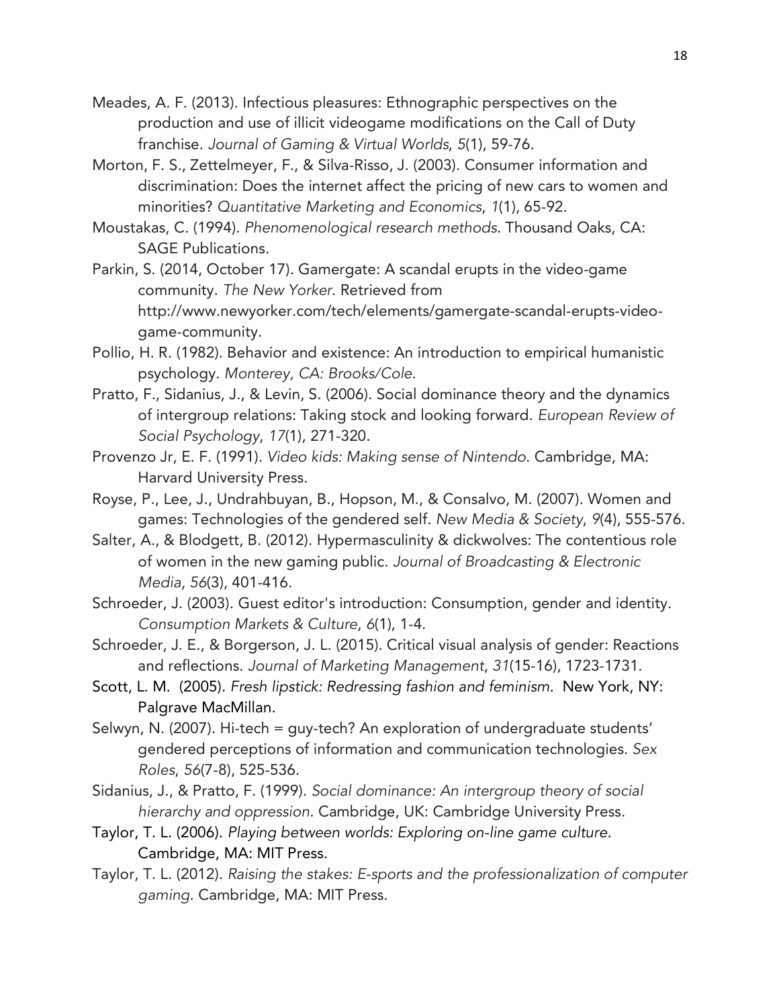- Meades, A. F. (2013). Infectious pleasures: Ethnographic perspectives on the production and use of illicit videogame modifications on the Call of Duty franchise. *Journal of Gaming & Virtual Worlds*, *5*(1), 59-76.
- Morton, F. S., Zettelmeyer, F., & Silva-Risso, J. (2003). Consumer information and discrimination: Does the internet affect the pricing of new cars to women and minorities? *Quantitative Marketing and Economics*, *1*(1), 65-92.
- Moustakas, C. (1994). *Phenomenological research methods*. Thousand Oaks, CA: SAGE Publications.
- Parkin, S. (2014, October 17). Gamergate: A scandal erupts in the video-game community. *The New Yorker*. Retrieved from http://www.newyorker.com/tech/elements/gamergate-scandal-erupts-videogame-community.
- Pollio, H. R. (1982). Behavior and existence: An introduction to empirical humanistic psychology. *Monterey, CA: Brooks/Cole*.
- Pratto, F., Sidanius, J., & Levin, S. (2006). Social dominance theory and the dynamics of intergroup relations: Taking stock and looking forward. *European Review of Social Psychology*, *17*(1), 271-320.
- Provenzo Jr, E. F. (1991). *Video kids: Making sense of Nintendo*. Cambridge, MA: Harvard University Press.
- Royse, P., Lee, J., Undrahbuyan, B., Hopson, M., & Consalvo, M. (2007). Women and games: Technologies of the gendered self. *New Media & Society*, *9*(4), 555-576.
- Salter, A., & Blodgett, B. (2012). Hypermasculinity & dickwolves: The contentious role of women in the new gaming public. *Journal of Broadcasting & Electronic Media*, *56*(3), 401-416.
- Schroeder, J. (2003). Guest editor's introduction: Consumption, gender and identity. *Consumption Markets & Culture*, *6*(1), 1-4.
- Schroeder, J. E., & Borgerson, J. L. (2015). Critical visual analysis of gender: Reactions and reflections. *Journal of Marketing Management*, *31*(15-16), 1723-1731.
- Scott, L. M. (2005). *Fresh lipstick: Redressing fashion and feminism*. New York, NY: Palgrave MacMillan.
- Selwyn, N. (2007). Hi-tech = quy-tech? An exploration of undergraduate students' gendered perceptions of information and communication technologies. *Sex Roles*, *56*(7-8), 525-536.
- Sidanius, J., & Pratto, F. (1999). *Social dominance: An intergroup theory of social hierarchy and oppression*. Cambridge, UK: Cambridge University Press.
- Taylor, T. L. (2006). *Playing between worlds: Exploring on-line game culture*. Cambridge, MA: MIT Press.
- Taylor, T. L. (2012). *Raising the stakes: E-sports and the professionalization of computer gaming*. Cambridge, MA: MIT Press.